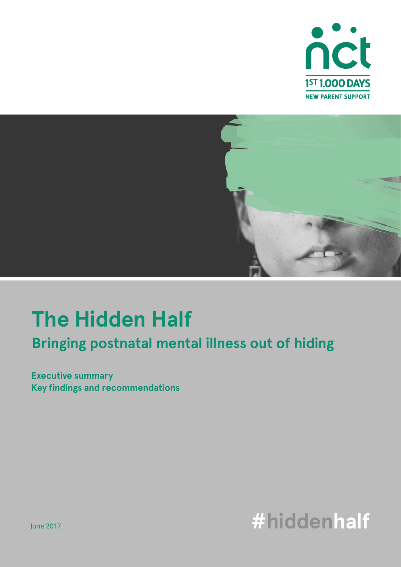



# **Bringing postnatal mental illness out of hiding The Hidden Half**

**Executive summary Key findings and recommendations**

# **#hiddenhalf**

June 2017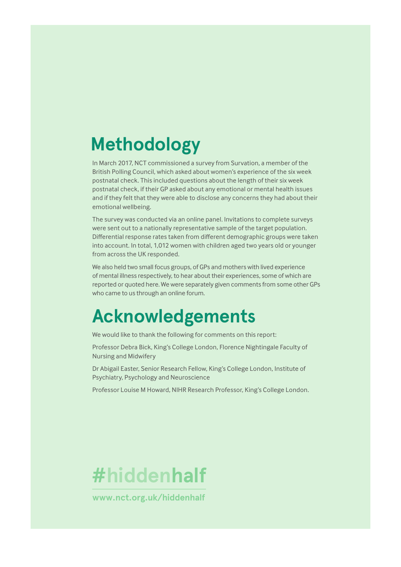# **Methodology**

In March 2017, NCT commissioned a survey from Survation, a member of the British Polling Council, which asked about women's experience of the six week postnatal check. This included questions about the length of their six week postnatal check, if their GP asked about any emotional or mental health issues and if they felt that they were able to disclose any concerns they had about their emotional wellbeing.

The survey was conducted via an online panel. Invitations to complete surveys were sent out to a nationally representative sample of the target population. Differential response rates taken from different demographic groups were taken into account. In total, 1,012 women with children aged two years old or younger from across the UK responded.

We also held two small focus groups, of GPs and mothers with lived experience of mental illness respectively, to hear about their experiences, some of which are reported or quoted here. We were separately given comments from some other GPs who came to us through an online forum.

## **Acknowledgements**

We would like to thank the following for comments on this report:

Professor Debra Bick, King's College London, Florence Nightingale Faculty of Nursing and Midwifery

Dr Abigail Easter, Senior Research Fellow, King's College London, Institute of Psychiatry, Psychology and Neuroscience

Professor Louise M Howard, NIHR Research Professor, King's College London.



**www.nct.org.uk/hiddenhalf**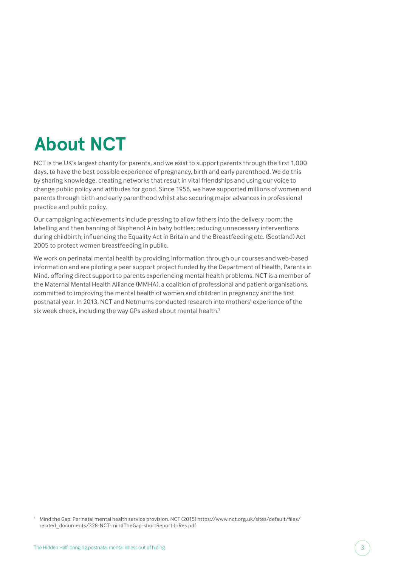# **About NCT**

NCT is the UK's largest charity for parents, and we exist to support parents through the first 1,000 days, to have the best possible experience of pregnancy, birth and early parenthood. We do this by sharing knowledge, creating networks that result in vital friendships and using our voice to change public policy and attitudes for good. Since 1956, we have supported millions of women and parents through birth and early parenthood whilst also securing major advances in professional practice and public policy.

Our campaigning achievements include pressing to allow fathers into the delivery room; the labelling and then banning of Bisphenol A in baby bottles; reducing unnecessary interventions during childbirth; influencing the Equality Act in Britain and the Breastfeeding etc. (Scotland) Act 2005 to protect women breastfeeding in public.

We work on perinatal mental health by providing information through our courses and web-based information and are piloting a peer support project funded by the Department of Health, Parents in Mind, offering direct support to parents experiencing mental health problems. NCT is a member of the Maternal Mental Health Alliance (MMHA), a coalition of professional and patient organisations, committed to improving the mental health of women and children in pregnancy and the first postnatal year. In 2013, NCT and Netmums conducted research into mothers' experience of the six week check, including the way GPs asked about mental health.<sup>1</sup>

<sup>1</sup> Mind the Gap: Perinatal mental health service provision. NCT (2015) https://www.nct.org.uk/sites/default/files/ related\_documents/328-NCT-mindTheGap-shortReport-loRes.pdf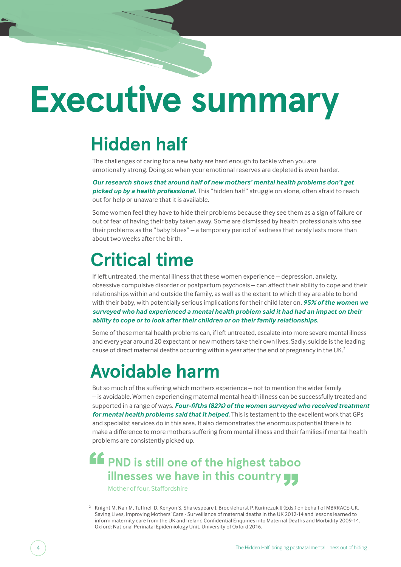# **Executive summary**

# **Hidden half**

The challenges of caring for a new baby are hard enough to tackle when you are emotionally strong. Doing so when your emotional reserves are depleted is even harder.

*Our research shows that around half of new mothers' mental health problems don't get picked up by a health professional.* This "hidden half" struggle on alone, often afraid to reach out for help or unaware that it is available.

Some women feel they have to hide their problems because they see them as a sign of failure or out of fear of having their baby taken away. Some are dismissed by health professionals who see their problems as the "baby blues" – a temporary period of sadness that rarely lasts more than about two weeks after the birth.

# **Critical time**

If left untreated, the mental illness that these women experience – depression, anxiety, obsessive compulsive disorder or postpartum psychosis – can affect their ability to cope and their relationships within and outside the family, as well as the extent to which they are able to bond with their baby, with potentially serious implications for their child later on. *95% of the women we surveyed who had experienced a mental health problem said it had had an impact on their ability to cope or to look after their children or on their family relationships.*

Some of these mental health problems can, if left untreated, escalate into more severe mental illness and every year around 20 expectant or new mothers take their own lives. Sadly, suicide is the leading cause of direct maternal deaths occurring within a year after the end of pregnancy in the UK.<sup>2</sup>

## **Avoidable harm**

But so much of the suffering which mothers experience – not to mention the wider family – is avoidable. Women experiencing maternal mental health illness can be successfully treated and supported in a range of ways. *Four-fifths (82%) of the women surveyed who received treatment for mental health problems said that it helped.* This is testament to the excellent work that GPs and specialist services do in this area. It also demonstrates the enormous potential there is to make a difference to more mothers suffering from mental illness and their families if mental health problems are consistently picked up.

### **PND is still one of the highest taboo illnesses we have in this country** "

Mother of four, Staffordshire

<sup>&</sup>lt;sup>2</sup> Knight M, Nair M, Tuffnell D, Kenyon S, Shakespeare J, Brocklehurst P, Kurinczuk JJ (Eds.) on behalf of MBRRACE-UK. Saving Lives, Improving Mothers' Care - Surveillance of maternal deaths in the UK 2012-14 and lessons learned to inform maternity care from the UK and Ireland Confidential Enquiries into Maternal Deaths and Morbidity 2009-14. Oxford: National Perinatal Epidemiology Unit, University of Oxford 2016.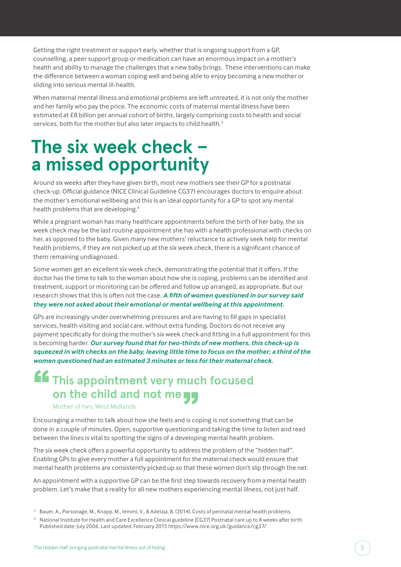Getting the right treatment or support early, whether that is ongoing support from a GP, counselling, a peer support group or medication can have an enormous impact on a mother's health and ability to manage the challenges that a new baby brings. These interventions can make the difference between a woman coping well and being able to enjoy becoming a new mother or sliding into serious mental ill-health.

When maternal mental illness and emotional problems are left untreated, it is not only the mother and her family who pay the price. The economic costs of maternal mental illness have been estimated at £8 billion per annual cohort of births, largely comprising costs to health and social services, both for the mother but also later impacts to child health.<sup>3</sup>

## **The six week check – a missed opportunity**

Around six weeks after they have given birth, most new mothers see their GP for a postnatal check-up. Official guidance (NICE Clinical Guideline CG37) encourages doctors to enquire about the mother's emotional wellbeing and this is an ideal opportunity for a GP to spot any mental health problems that are developing.4

While a pregnant woman has many healthcare appointments before the birth of her baby, the six week check may be the last routine appointment she has with a health professional with checks on her, as opposed to the baby. Given many new mothers' reluctance to actively seek help for mental health problems, if they are not picked up at the six week check, there is a significant chance of them remaining undiagnosed.

Some women get an excellent six week check, demonstrating the potential that it offers. If the doctor has the time to talk to the woman about how she is coping, problems can be identified and treatment, support or monitoring can be offered and follow up arranged, as appropriate. But our research shows that this is often not the case. *A fifth of women questioned in our survey said they were not asked about their emotional or mental wellbeing at this appointment.*

GPs are increasingly under overwhelming pressures and are having to fill gaps in specialist services, health visiting and social care, without extra funding. Doctors do not receive any payment specifically for doing the mother's six week check and fitting in a full appointment for this is becoming harder. *Our survey found that for two-thirds of new mothers, this check-up is squeezed in with checks on the baby, leaving little time to focus on the mother; a third of the women questioned had an estimated 3 minutes or less for their maternal check.*

### **This appointment very much focused on the child and not me**<br>
Mother of two, West Midlands<br>
raging a mother to talk about how she feels and is co "

#### Mother of two, West Midlands

Encouraging a mother to talk about how she feels and is coping is not something that can be done in a couple of minutes. Open, supportive questioning and taking the time to listen and read between the lines is vital to spotting the signs of a developing mental health problem.

The six week check offers a powerful opportunity to address the problem of the "hidden half". Enabling GPs to give every mother a full appointment for the maternal check would ensure that mental health problems are consistently picked up so that these women don't slip through the net.

An appointment with a supportive GP can be the first step towards recovery from a mental health problem. Let's make that a reality for all new mothers experiencing mental illness, not just half.

3 Bauer, A., Parsonage, M., Knapp, M., Iemmi, V., & Adelaja, B. (2014). Costs of perinatal mental health problems.

<sup>4</sup> National Institute for Health and Care Excellence Clinical guideline [CG37] Postnatal care up to 8 weeks after birth Published date: July 2006. Last updated: February 2015 https://www.nice.org.uk/guidance/cg37/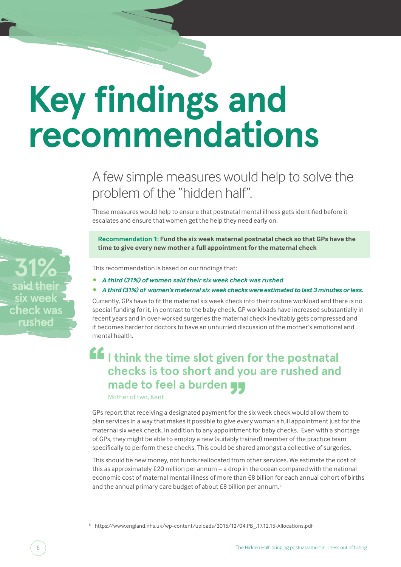# **Key findings and recommendations**

### A few simple measures would help to solve the problem of the "hidden half".

These measures would help to ensure that postnatal mental illness gets identified before it escalates and ensure that women get the help they need early on.

**Recommendation 1: Fund the six week maternal postnatal check so that GPs have the time to give every new mother a full appointment for the maternal check**

This recommendation is based on our findings that:

- *• A third (31%) of women said their six week check was rushed*
- *• A third (31%) of women's maternal six week checks were estimated to last 3 minutes or less.*

Currently, GPs have to fit the maternal six week check into their routine workload and there is no special funding for it, in contrast to the baby check. GP workloads have increased substantially in recent years and in over-worked surgeries the maternal check inevitably gets compressed and it becomes harder for doctors to have an unhurried discussion of the mother's emotional and mental health.

### **I think the time slot given for the postnatal checks is too short and you are rushed and made to feel a burden yy**<br>Mother of two, Kent "

Mother of two, Kent

GPs report that receiving a designated payment for the six week check would allow them to plan services in a way that makes it possible to give every woman a full appointment just for the maternal six week check, in addition to any appointment for baby checks. Even with a shortage of GPs, they might be able to employ a new (suitably trained) member of the practice team specifically to perform these checks. This could be shared amongst a collective of surgeries.

This should be new money, not funds reallocated from other services. We estimate the cost of this as approximately £20 million per annum – a drop in the ocean compared with the national economic cost of maternal mental illness of more than £8 billion for each annual cohort of births and the annual primary care budget of about £8 billion per annum.<sup>5</sup>

<sup>5</sup> https://www.england.nhs.uk/wp-content/uploads/2015/12/04.PB\_.17.12.15-Allocations.pdf

**31% said their six week check was rushed**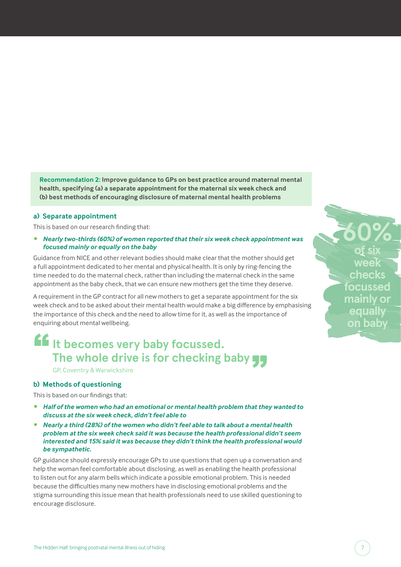**Recommendation 2: Improve guidance to GPs on best practice around maternal mental health, specifying (a) a separate appointment for the maternal six week check and (b) best methods of encouraging disclosure of maternal mental health problems**

#### **a) Separate appointment**

This is based on our research finding that:

*• Nearly two-thirds (60%) of women reported that their six week check appointment was focused mainly or equally on the baby*

Guidance from NICE and other relevant bodies should make clear that the mother should get a full appointment dedicated to her mental and physical health. It is only by ring-fencing the time needed to do the maternal check, rather than including the maternal check in the same appointment as the baby check, that we can ensure new mothers get the time they deserve.

A requirement in the GP contract for all new mothers to get a separate appointment for the six week check and to be asked about their mental health would make a big difference by emphasising the importance of this check and the need to allow time for it, as well as the importance of enquiring about mental wellbeing.

### **It becomes very baby focussed. The whole drive is for checking baby**  $\frac{1}{2}$ <br>GP, Coventry & Warwickshire<br>**thods of questioning** "

GP, Coventry & Warwickshire

#### **b) Methods of questioning**

This is based on our findings that:

- *• Half of the women who had an emotional or mental health problem that they wanted to discuss at the six week check, didn't feel able to*
- *• Nearly a third (28%) of the women who didn't feel able to talk about a mental health problem at the six week check said it was because the health professional didn't seem interested and 15% said it was because they didn't think the health professional would be sympathetic.*

GP guidance should expressly encourage GPs to use questions that open up a conversation and help the woman feel comfortable about disclosing, as well as enabling the health professional to listen out for any alarm bells which indicate a possible emotional problem. This is needed because the difficulties many new mothers have in disclosing emotional problems and the stigma surrounding this issue mean that health professionals need to use skilled questioning to encourage disclosure.

**60% of six week checks focussed mainly or equally on baby**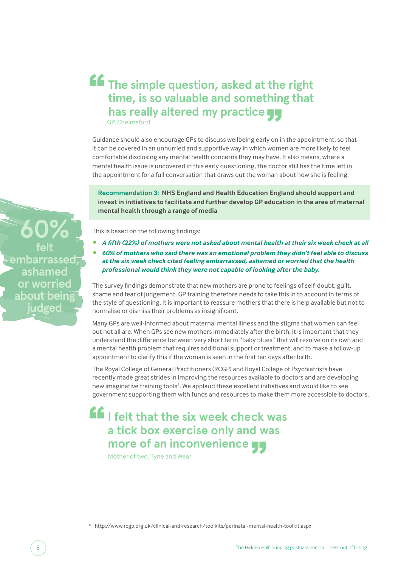### **The simple question, asked at the right time, is so valuable and something that has really altered my practice** GP, Chelmsford "

Guidance should also encourage GPs to discuss wellbeing early on in the appointment, so that it can be covered in an unhurried and supportive way in which women are more likely to feel comfortable disclosing any mental health concerns they may have. It also means, where a mental health issue is uncovered in this early questioning, the doctor still has the time left in the appointment for a full conversation that draws out the woman about how she is feeling.

**Recommendation 3: NHS England and Health Education England should support and invest in initiatives to facilitate and further develop GP education in the area of maternal mental health through a range of media**

This is based on the following findings:

- *• A fifth (22%) of mothers were not asked about mental health at their six week check at all*
- *• 60% of mothers who said there was an emotional problem they didn't feel able to discuss at the six week check cited feeling embarrassed, ashamed or worried that the health professional would think they were not capable of looking after the baby.*

The survey findings demonstrate that new mothers are prone to feelings of self-doubt, guilt, shame and fear of judgement. GP training therefore needs to take this in to account in terms of the style of questioning. It is important to reassure mothers that there is help available but not to normalise or dismiss their problems as insignificant.

Many GPs are well-informed about maternal mental illness and the stigma that women can feel but not all are. When GPs see new mothers immediately after the birth, it is important that they understand the difference between very short term "baby blues" that will resolve on its own and a mental health problem that requires additional support or treatment, and to make a follow-up appointment to clarify this if the woman is seen in the first ten days after birth.

The Royal College of General Practitioners (RCGP) and Royal College of Psychiatrists have recently made great strides in improving the resources available to doctors and are developing new imaginative training tools<sup>6</sup>. We applaud these excellent initiatives and would like to see government supporting them with funds and resources to make them more accessible to doctors.

### **I felt that the six week check was a tick box exercise only and was more of an inconvenience** "

Mother of two, Tyne and Wear

<sup>6</sup> http://www.rcgp.org.uk/clinical-and-research/toolkits/perinatal-mental-health-toolkit.aspx

**60% felt embarrassed, ashamed or worried about bein judged**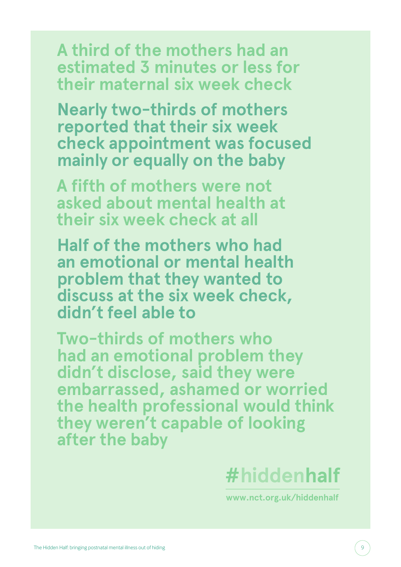**A third of the mothers had an estimated 3 minutes or less for their maternal six week check**

**Nearly two-thirds of mothers reported that their six week check appointment was focused mainly or equally on the baby**

**A fifth of mothers were not asked about mental health at their six week check at all**

**Half of the mothers who had an emotional or mental health problem that they wanted to discuss at the six week check, didn't feel able to**

**Two-thirds of mothers who had an emotional problem they didn't disclose, said they were embarrassed, ashamed or worried the health professional would think they weren't capable of looking after the baby**



**www.nct.org.uk/hiddenhalf**